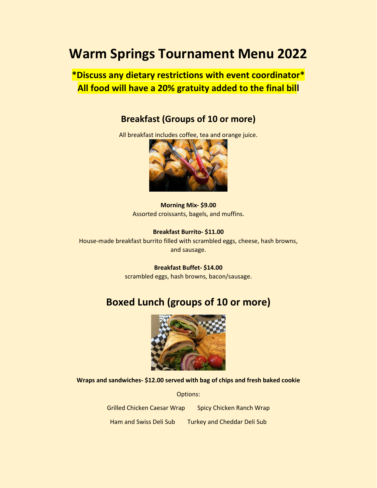# **Warm Springs Tournament Menu 2022**

**\*Discuss any dietary restrictions with event coordinator\* All food will have a 20% gratuity added to the final bill**

#### **Breakfast (Groups of 10 or more)**

All breakfast includes coffee, tea and orange juice.



**Morning Mix- \$9.00** Assorted croissants, bagels, and muffins.

**Breakfast Burrito- \$11.00** House-made breakfast burrito filled with scrambled eggs, cheese, hash browns, and sausage.

> **Breakfast Buffet- \$14.00** scrambled eggs, hash browns, bacon/sausage.

#### **Boxed Lunch (groups of 10 or more)**



**Wraps and sandwiches- \$12.00 served with bag of chips and fresh baked cookie**

Options:

Grilled Chicken Caesar Wrap Spicy Chicken Ranch Wrap Ham and Swiss Deli Sub Turkey and Cheddar Deli Sub